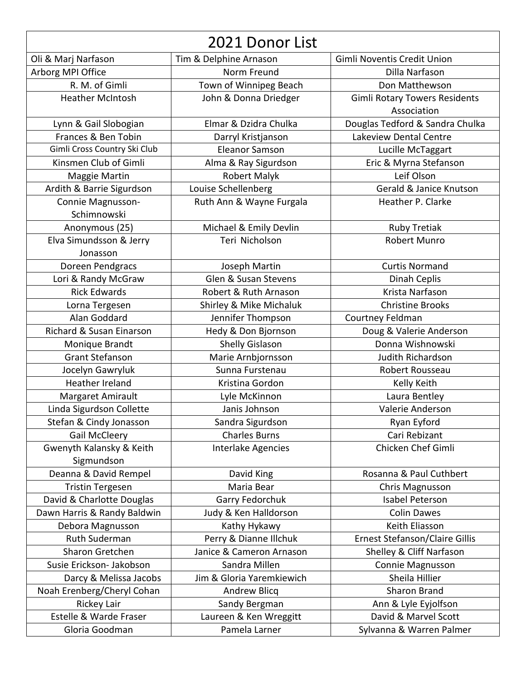| 2021 Donor List              |                           |                                      |
|------------------------------|---------------------------|--------------------------------------|
| Oli & Marj Narfason          | Tim & Delphine Arnason    | Gimli Noventis Credit Union          |
| Arborg MPI Office            | Norm Freund               | Dilla Narfason                       |
| R. M. of Gimli               | Town of Winnipeg Beach    | Don Matthewson                       |
| <b>Heather McIntosh</b>      | John & Donna Driedger     | <b>Gimli Rotary Towers Residents</b> |
|                              |                           | Association                          |
| Lynn & Gail Slobogian        | Elmar & Dzidra Chulka     | Douglas Tedford & Sandra Chulka      |
| Frances & Ben Tobin          | Darryl Kristjanson        | Lakeview Dental Centre               |
| Gimli Cross Country Ski Club | <b>Eleanor Samson</b>     | Lucille McTaggart                    |
| Kinsmen Club of Gimli        | Alma & Ray Sigurdson      | Eric & Myrna Stefanson               |
| Maggie Martin                | <b>Robert Malyk</b>       | Leif Olson                           |
| Ardith & Barrie Sigurdson    | Louise Schellenberg       | Gerald & Janice Knutson              |
| Connie Magnusson-            | Ruth Ann & Wayne Furgala  | Heather P. Clarke                    |
| Schimnowski                  |                           |                                      |
| Anonymous (25)               | Michael & Emily Devlin    | Ruby Tretiak                         |
| Elva Simundsson & Jerry      | Teri Nicholson            | <b>Robert Munro</b>                  |
| Jonasson                     |                           |                                      |
| Doreen Pendgracs             | Joseph Martin             | <b>Curtis Normand</b>                |
| Lori & Randy McGraw          | Glen & Susan Stevens      | Dinah Ceplis                         |
| <b>Rick Edwards</b>          | Robert & Ruth Arnason     | Krista Narfason                      |
| Lorna Tergesen               | Shirley & Mike Michaluk   | <b>Christine Brooks</b>              |
| Alan Goddard                 | Jennifer Thompson         | Courtney Feldman                     |
| Richard & Susan Einarson     | Hedy & Don Bjornson       | Doug & Valerie Anderson              |
| Monique Brandt               | Shelly Gislason           | Donna Wishnowski                     |
| <b>Grant Stefanson</b>       | Marie Arnbjornsson        | Judith Richardson                    |
| Jocelyn Gawryluk             | Sunna Furstenau           | Robert Rousseau                      |
| Heather Ireland              | Kristina Gordon           | Kelly Keith                          |
| Margaret Amirault            | Lyle McKinnon             | Laura Bentley                        |
| Linda Sigurdson Collette     | Janis Johnson             | Valerie Anderson                     |
| Stefan & Cindy Jonasson      | Sandra Sigurdson          | Ryan Eyford                          |
| <b>Gail McCleery</b>         | <b>Charles Burns</b>      | Cari Rebizant                        |
| Gwenyth Kalansky & Keith     | Interlake Agencies        | Chicken Chef Gimli                   |
| Sigmundson                   |                           |                                      |
| Deanna & David Rempel        | David King                | Rosanna & Paul Cuthbert              |
| <b>Tristin Tergesen</b>      | Maria Bear                | Chris Magnusson                      |
| David & Charlotte Douglas    | Garry Fedorchuk           | Isabel Peterson                      |
| Dawn Harris & Randy Baldwin  | Judy & Ken Halldorson     | <b>Colin Dawes</b>                   |
| Debora Magnusson             | Kathy Hykawy              | Keith Eliasson                       |
| Ruth Suderman                | Perry & Dianne Illchuk    | Ernest Stefanson/Claire Gillis       |
| Sharon Gretchen              | Janice & Cameron Arnason  | Shelley & Cliff Narfason             |
| Susie Erickson- Jakobson     | Sandra Millen             | Connie Magnusson                     |
| Darcy & Melissa Jacobs       | Jim & Gloria Yaremkiewich | Sheila Hillier                       |
| Noah Erenberg/Cheryl Cohan   | <b>Andrew Blicq</b>       | <b>Sharon Brand</b>                  |
| Rickey Lair                  | Sandy Bergman             | Ann & Lyle Eyjolfson                 |
| Estelle & Warde Fraser       | Laureen & Ken Wreggitt    | David & Marvel Scott                 |
| Gloria Goodman               | Pamela Larner             | Sylvanna & Warren Palmer             |